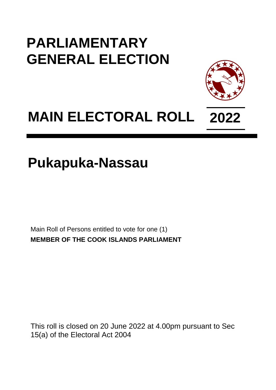## **PARLIAMENTARY GENERAL ELECTION**



# **MAIN ELECTORAL ROLL 2022**

**Pukapuka-Nassau**

Main Roll of Persons entitled to vote for one (1) **MEMBER OF THE COOK ISLANDS PARLIAMENT**

This roll is closed on 20 June 2022 at 4.00pm pursuant to Sec 15(a) of the Electoral Act 2004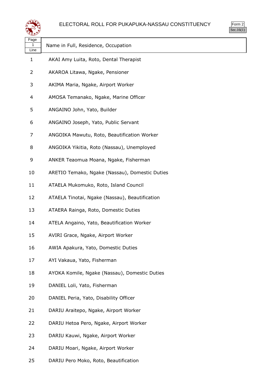

| Page<br>1<br>Line | Name in Full, Residence, Occupation            |
|-------------------|------------------------------------------------|
| $\mathbf{1}$      | AKAI Amy Luita, Roto, Dental Therapist         |
| 2                 | AKAROA Litawa, Ngake, Pensioner                |
| 3                 | AKIMA Maria, Ngake, Airport Worker             |
| 4                 | AMOSA Temanako, Ngake, Marine Officer          |
| 5                 | ANGAINO John, Yato, Builder                    |
| 6                 | ANGAINO Joseph, Yato, Public Servant           |
| 7                 | ANGOIKA Mawutu, Roto, Beautification Worker    |
| 8                 | ANGOIKA Yikitia, Roto (Nassau), Unemployed     |
| 9                 | ANKER Teaomua Moana, Ngake, Fisherman          |
| 10                | ARETIO Temako, Ngake (Nassau), Domestic Duties |
| 11                | ATAELA Mukomuko, Roto, Island Council          |
| 12                | ATAELA Tinotai, Ngake (Nassau), Beautification |
| 13                | ATAERA Rainga, Roto, Domestic Duties           |
| 14                | ATELA Angaino, Yato, Beautification Worker     |
| 15                | AVIRI Grace, Ngake, Airport Worker             |
| 16                | AWIA Apakura, Yato, Domestic Duties            |
| 17                | AYI Vakaua, Yato, Fisherman                    |
| 18                | AYOKA Komile, Ngake (Nassau), Domestic Duties  |
| 19                | DANIEL Loli, Yato, Fisherman                   |
| 20                | DANIEL Peria, Yato, Disability Officer         |
| 21                | DARIU Araitepo, Ngake, Airport Worker          |
| 22                | DARIU Hetoa Pero, Ngake, Airport Worker        |
| 23                | DARIU Kauwi, Ngake, Airport Worker             |
| 24                | DARIU Moari, Ngake, Airport Worker             |
|                   |                                                |

DARIU Pero Moko, Roto, Beautification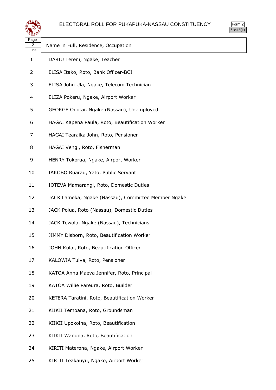

| لتستعيث                                 |                                                     | 0.00110( |
|-----------------------------------------|-----------------------------------------------------|----------|
| Page<br>$\overline{\mathbf{c}}$<br>Line | Name in Full, Residence, Occupation                 |          |
| $\mathbf{1}$                            | DARIU Tereni, Ngake, Teacher                        |          |
| 2                                       | ELISA Itako, Roto, Bank Officer-BCI                 |          |
| 3                                       | ELISA John Ula, Ngake, Telecom Technician           |          |
| 4                                       | ELIZA Pokeru, Ngake, Airport Worker                 |          |
| 5                                       | GEORGE Onotai, Ngake (Nassau), Unemployed           |          |
| 6                                       | HAGAI Kapena Paula, Roto, Beautification Worker     |          |
| 7                                       | HAGAI Tearaika John, Roto, Pensioner                |          |
| 8                                       | HAGAI Vengi, Roto, Fisherman                        |          |
| 9                                       | HENRY Tokorua, Ngake, Airport Worker                |          |
| 10                                      | IAKOBO Ruarau, Yato, Public Servant                 |          |
| 11                                      | IOTEVA Mamarangi, Roto, Domestic Duties             |          |
| 12                                      | JACK Lameka, Ngake (Nassau), Committee Member Ngake |          |
| 13                                      | JACK Polua, Roto (Nassau), Domestic Duties          |          |
| 14                                      | JACK Tewola, Ngake (Nassau), Technicians            |          |
| 15                                      | JIMMY Disborn, Roto, Beautification Worker          |          |
| 16                                      | JOHN Kulai, Roto, Beautification Officer            |          |
| 17                                      | KALOWIA Tuiva, Roto, Pensioner                      |          |
| 18                                      | KATOA Anna Maeva Jennifer, Roto, Principal          |          |
| 19                                      | KATOA Willie Pareura, Roto, Builder                 |          |
| 20                                      | KETERA Taratini, Roto, Beautification Worker        |          |
| 21                                      | KIIKII Temoana, Roto, Groundsman                    |          |
| 22                                      | KIIKII Upokoina, Roto, Beautification               |          |
| 23                                      | KIIKII Wanuna, Roto, Beautification                 |          |
| 24                                      | KIRITI Materona, Ngake, Airport Worker              |          |

KIRITI Teakauyu, Ngake, Airport Worker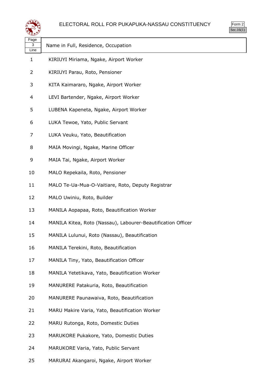



| Page<br>3<br>Line | Name in Full, Residence, Occupation                          |
|-------------------|--------------------------------------------------------------|
| 1                 | KIRIUYI Miriama, Ngake, Airport Worker                       |
| 2                 | KIRIUYI Parau, Roto, Pensioner                               |
| 3                 | KITA Kaimararo, Ngake, Airport Worker                        |
| 4                 | LEVI Bartender, Ngake, Airport Worker                        |
| 5                 | LUBENA Kapeneta, Ngake, Airport Worker                       |
| 6                 | LUKA Tewoe, Yato, Public Servant                             |
| 7                 | LUKA Veuku, Yato, Beautification                             |
| 8                 | MAIA Movingi, Ngake, Marine Officer                          |
| 9                 | MAIA Tai, Ngake, Airport Worker                              |
| 10                | MALO Repekaila, Roto, Pensioner                              |
| 11                | MALO Te-Ua-Mua-O-Vaitiare, Roto, Deputy Registrar            |
| 12                | MALO Uwiniu, Roto, Builder                                   |
| 13                | MANILA Aopapaa, Roto, Beautification Worker                  |
| 14                | MANILA Kitea, Roto (Nassau), Labourer-Beautification Officer |
| 15                | MANILA Lulunui, Roto (Nassau), Beautification                |
| 16                | MANILA Terekini, Roto, Beautification                        |
| 17                | MANILA Tiny, Yato, Beautification Officer                    |
| 18                | MANILA Yetetikava, Yato, Beautification Worker               |
| 19                | MANURERE Patakuria, Roto, Beautification                     |
| 20                | MANURERE Paunawaiva, Roto, Beautification                    |
| 21                | MARU Makire Varia, Yato, Beautification Worker               |
| 22                | MARU Rutonga, Roto, Domestic Duties                          |
| 23                | MARUKORE Pukakore, Yato, Domestic Duties                     |
| 24                | MARUKORE Varia, Yato, Public Servant                         |

MARURAI Akangaroi, Ngake, Airport Worker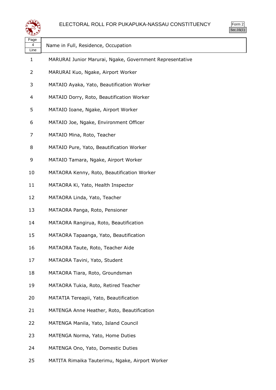

Form 2 Sec.16(1)

| Page<br>4<br>Line | Name in Full, Residence, Occupation                      |
|-------------------|----------------------------------------------------------|
| 1                 | MARURAI Junior Marurai, Ngake, Government Representative |
| 2                 | MARURAI Kuo, Ngake, Airport Worker                       |
| 3                 | MATAIO Ayaka, Yato, Beautification Worker                |
| 4                 | MATAIO Dorry, Roto, Beautification Worker                |
| 5                 | MATAIO Ioane, Ngake, Airport Worker                      |
| 6                 | MATAIO Joe, Ngake, Environment Officer                   |
| 7                 | MATAIO Mina, Roto, Teacher                               |
| 8                 | MATAIO Pure, Yato, Beautification Worker                 |
| 9                 | MATAIO Tamara, Ngake, Airport Worker                     |
| 10                | MATAORA Kenny, Roto, Beautification Worker               |
| 11                | MATAORA Ki, Yato, Health Inspector                       |
| 12                | MATAORA Linda, Yato, Teacher                             |
| 13                | MATAORA Panga, Roto, Pensioner                           |
| 14                | MATAORA Rangirua, Roto, Beautification                   |
| 15                | MATAORA Tapaanga, Yato, Beautification                   |
| 16                | MATAORA Taute, Roto, Teacher Aide                        |
| 17                | MATAORA Tavini, Yato, Student                            |
| 18                | MATAORA Tiara, Roto, Groundsman                          |
| 19                | MATAORA Tukia, Roto, Retired Teacher                     |
| 20                | MATATIA Tereapii, Yato, Beautification                   |
| 21                | MATENGA Anne Heather, Roto, Beautification               |
| 22                | MATENGA Manila, Yato, Island Council                     |
| 23                | MATENGA Norma, Yato, Home Duties                         |
| 24                | MATENGA Ono, Yato, Domestic Duties                       |
| 25                | MATITA Rimaika Tauterimu, Ngake, Airport Worker          |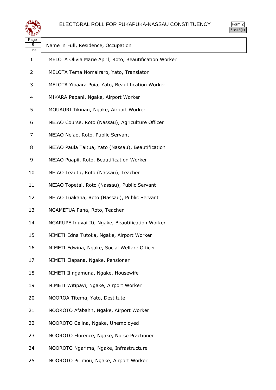

Form 2 Sec.16(1)

| Page<br>5<br>Line | Name in Full, Residence, Occupation                    |
|-------------------|--------------------------------------------------------|
| 1                 | MELOTA Olivia Marie April, Roto, Beautification Worker |
| 2                 | MELOTA Tema Nomairaro, Yato, Translator                |
| 3                 | MELOTA Yipaara Puia, Yato, Beautification Worker       |
| 4                 | MIKARA Papani, Ngake, Airport Worker                   |
| 5                 | MOUAURI Tikinau, Ngake, Airport Worker                 |
| 6                 | NEIAO Course, Roto (Nassau), Agriculture Officer       |
| 7                 | NEIAO Neiao, Roto, Public Servant                      |
| 8                 | NEIAO Paula Taitua, Yato (Nassau), Beautification      |
| 9                 | NEIAO Puapii, Roto, Beautification Worker              |
| 10                | NEIAO Teautu, Roto (Nassau), Teacher                   |
| 11                | NEIAO Topetai, Roto (Nassau), Public Servant           |
| 12                | NEIAO Tuakana, Roto (Nassau), Public Servant           |
| 13                | NGAMETUA Pana, Roto, Teacher                           |
| 14                | NGARUPE Inuvai Iti, Ngake, Beautification Worker       |
| 15                | NIMETI Edna Tutoka, Ngake, Airport Worker              |
| 16                | NIMETI Edwina, Ngake, Social Welfare Officer           |
| 17                | NIMETI Eiapana, Ngake, Pensioner                       |
| 18                | NIMETI Ilingamuna, Ngake, Housewife                    |
| 19                | NIMETI Witipayi, Ngake, Airport Worker                 |
| 20                | NOOROA Titema, Yato, Destitute                         |
| 21                | NOOROTO Afabahn, Ngake, Airport Worker                 |
| 22                | NOOROTO Celina, Ngake, Unemployed                      |
| 23                | NOOROTO Florence, Ngake, Nurse Practioner              |
| 24                | NOOROTO Ngarima, Ngake, Infrastructure                 |
|                   |                                                        |

NOOROTO Pirimou, Ngake, Airport Worker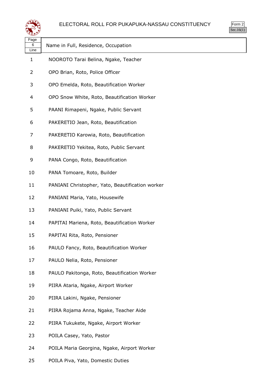

| Page         |                                                  |
|--------------|--------------------------------------------------|
| 6<br>Line    | Name in Full, Residence, Occupation              |
| $\mathbf{1}$ | NOOROTO Tarai Belina, Ngake, Teacher             |
| 2            | OPO Brian, Roto, Police Officer                  |
| 3            | OPO Emelda, Roto, Beautification Worker          |
| 4            | OPO Snow White, Roto, Beautification Worker      |
| 5            | PAANI Rimapeni, Ngake, Public Servant            |
| 6            | PAKERETIO Jean, Roto, Beautification             |
| 7            | PAKERETIO Karowia, Roto, Beautification          |
| 8            | PAKERETIO Yekitea, Roto, Public Servant          |
| 9            | PANA Congo, Roto, Beautification                 |
| 10           | PANA Tomoare, Roto, Builder                      |
| 11           | PANIANI Christopher, Yato, Beautification worker |
| 12           | PANIANI Maria, Yato, Housewife                   |
| 13           | PANIANI Puiki, Yato, Public Servant              |
| 14           | PAPITAI Mariena, Roto, Beautification Worker     |
| 15           | PAPITAI Rita, Roto, Pensioner                    |
| 16           | PAULO Fancy, Roto, Beautification Worker         |
| 17           | PAULO Nelia, Roto, Pensioner                     |
| 18           | PAULO Pakitonga, Roto, Beautification Worker     |
| 19           | PIIRA Ataria, Ngake, Airport Worker              |
| 20           | PIIRA Lakini, Ngake, Pensioner                   |
| 21           | PIIRA Rojama Anna, Ngake, Teacher Aide           |
| 22           | PIIRA Tukukete, Ngake, Airport Worker            |
| 23           | POILA Casey, Yato, Pastor                        |
| 24           | POILA Maria Georgina, Ngake, Airport Worker      |
|              |                                                  |

POILA Piva, Yato, Domestic Duties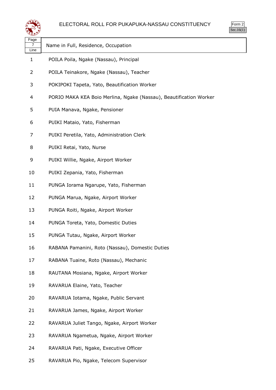| rr<br>۲<br>э<br>л |
|-------------------|
|                   |

| Page<br>7<br>Line | Name in Full, Residence, Occupation                                |
|-------------------|--------------------------------------------------------------------|
| $\mathbf{1}$      | POILA Poila, Ngake (Nassau), Principal                             |
| $\overline{2}$    | POILA Teinakore, Ngake (Nassau), Teacher                           |
| 3                 | POKIPOKI Tapeta, Yato, Beautification Worker                       |
| 4                 | PORIO MAKA KEA Boio Merlina, Ngake (Nassau), Beautification Worker |
| 5                 | PUIA Manava, Ngake, Pensioner                                      |
| 6                 | PUIKI Mataio, Yato, Fisherman                                      |
| 7                 | PUIKI Peretila, Yato, Administration Clerk                         |
| 8                 | PUIKI Retai, Yato, Nurse                                           |
| 9                 | PUIKI Willie, Ngake, Airport Worker                                |
| 10                | PUIKI Zepania, Yato, Fisherman                                     |
| 11                | PUNGA Iorama Ngarupe, Yato, Fisherman                              |
| 12                | PUNGA Marua, Ngake, Airport Worker                                 |
| 13                | PUNGA Roiti, Ngake, Airport Worker                                 |
| 14                | PUNGA Toreta, Yato, Domestic Duties                                |
| 15                | PUNGA Tutau, Ngake, Airport Worker                                 |
| 16                | RABANA Pamanini, Roto (Nassau), Domestic Duties                    |
| 17                | RABANA Tuaine, Roto (Nassau), Mechanic                             |
| 18                | RAUTANA Mosiana, Ngake, Airport Worker                             |
| 19                | RAVARUA Elaine, Yato, Teacher                                      |
| 20                | RAVARUA Iotama, Ngake, Public Servant                              |
| 21                | RAVARUA James, Ngake, Airport Worker                               |
| 22                | RAVARUA Juliet Tango, Ngake, Airport Worker                        |
| 23                | RAVARUA Ngametua, Ngake, Airport Worker                            |
| 24                | RAVARUA Pati, Ngake, Executive Officer                             |
| 25                | RAVARUA Pio, Ngake, Telecom Supervisor                             |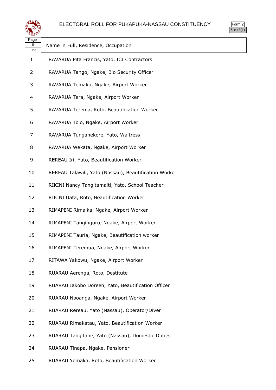

| --<br>Page<br>8 | Name in Full, Residence, Occupation                   |
|-----------------|-------------------------------------------------------|
| Line            |                                                       |
| 1               | RAVARUA Pita Francis, Yato, ICI Contractors           |
| $\overline{2}$  | RAVARUA Tango, Ngake, Bio Security Officer            |
| 3               | RAVARUA Temako, Ngake, Airport Worker                 |
| 4               | RAVARUA Tera, Ngake, Airport Worker                   |
| 5               | RAVARUA Terema, Roto, Beautification Worker           |
| 6               | RAVARUA Toio, Ngake, Airport Worker                   |
| 7               | RAVARUA Tunganekore, Yato, Waitress                   |
| 8               | RAVARUA Wekata, Ngake, Airport Worker                 |
| 9               | REREAU Iri, Yato, Beautification Worker               |
| 10              | REREAU Talawili, Yato (Nassau), Beautification Worker |
| 11              | RIKINI Nancy Tangitamaiti, Yato, School Teacher       |
| 12              | RIKINI Uata, Roto, Beautification Worker              |
| 13              | RIMAPENI Rimaika, Ngake, Airport Worker               |
| 14              | RIMAPENI Tanginguru, Ngake, Airport Worker            |
| 15              | RIMAPENI Tauria, Ngake, Beautification worker         |
| 16              | RIMAPENI Teremua, Ngake, Airport Worker               |
| 17              | RITAWA Yakowu, Ngake, Airport Worker                  |
| 18              | RUARAU Aerenga, Roto, Destitute                       |
| 19              | RUARAU Iakobo Doreen, Yato, Beautification Officer    |
| 20              | RUARAU Nooanga, Ngake, Airport Worker                 |
| 21              | RUARAU Rereau, Yato (Nassau), Operator/Diver          |
| 22              | RUARAU Rimakatau, Yato, Beautification Worker         |
| 23              | RUARAU Tangitane, Yato (Nassau), Domestic Duties      |
| 24              | RUARAU Tinapa, Ngake, Pensioner                       |

RUARAU Yemaka, Roto, Beautification Worker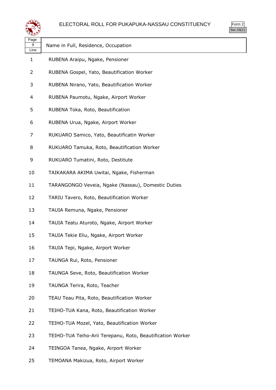

| પ∓≠У              |                                                            |
|-------------------|------------------------------------------------------------|
| Page<br>9<br>Line | Name in Full, Residence, Occupation                        |
| 1                 | RUBENA Araipu, Ngake, Pensioner                            |
| 2                 | RUBENA Gospel, Yato, Beautification Worker                 |
| 3                 | RUBENA Nirano, Yato, Beautification Worker                 |
| 4                 | RUBENA Paumotu, Ngake, Airport Worker                      |
| 5                 | RUBENA Toka, Roto, Beautification                          |
| 6                 | RUBENA Urua, Ngake, Airport Worker                         |
| 7                 | RUKUARO Samico, Yato, Beautificatin Worker                 |
| 8                 | RUKUARO Tamuka, Roto, Beautification Worker                |
| 9                 | RUKUARO Tumatini, Roto, Destitute                          |
| 10                | TAIKAKARA AKIMA Uwitai, Ngake, Fisherman                   |
| 11                | TARANGONGO Veveia, Ngake (Nassau), Domestic Duties         |
| 12                | TARIU Tavero, Roto, Beautification Worker                  |
| 13                | TAUIA Remuna, Ngake, Pensioner                             |
| 14                | TAUIA Teatu Aturoto, Ngake, Airport Worker                 |
| 15                | TAUIA Tekie Eliu, Ngake, Airport Worker                    |
| 16                | TAUIA Tepi, Ngake, Airport Worker                          |
| 17                | TAUNGA Rui, Roto, Pensioner                                |
| 18                | TAUNGA Seve, Roto, Beautification Worker                   |
| 19                | TAUNGA Terira, Roto, Teacher                               |
| 20                | TEAU Teau Pita, Roto, Beautification Worker                |
| 21                | TEIHO-TUA Kana, Roto, Beautification Worker                |
| 22                | TEIHO-TUA Mozel, Yato, Beautification Worker               |
| 23                | TEIHO-TUA Teiho-Arii Terepanu, Roto, Beautification Worker |
| 24                | TEINGOA Tanea, Ngake, Airport Worker                       |

TEMOANA Makizua, Roto, Airport Worker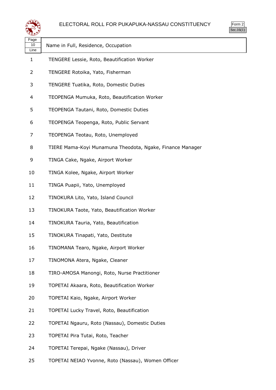

| Page |                                     |
|------|-------------------------------------|
| 10   | Name in Full, Residence, Occupation |
| Line |                                     |

- TENGERE Lessie, Roto, Beautification Worker
- TENGERE Rotoika, Yato, Fisherman
- TENGERE Tuatika, Roto, Domestic Duties
- TEOPENGA Mumuka, Roto, Beautification Worker
- TEOPENGA Tautani, Roto, Domestic Duties
- TEOPENGA Teopenga, Roto, Public Servant
- TEOPENGA Teotau, Roto, Unemployed
- TIERE Mama-Koyi Munamuna Theodota, Ngake, Finance Manager
- TINGA Cake, Ngake, Airport Worker
- TINGA Kolee, Ngake, Airport Worker
- TINGA Puapii, Yato, Unemployed
- TINOKURA Lito, Yato, Island Council
- TINOKURA Taote, Yato, Beautification Worker
- TINOKURA Tauria, Yato, Beautification
- TINOKURA Tinapati, Yato, Destitute
- TINOMANA Tearo, Ngake, Airport Worker
- TINOMONA Atera, Ngake, Cleaner
- TIRO-AMOSA Manongi, Roto, Nurse Practitioner
- TOPETAI Akaara, Roto, Beautification Worker
- TOPETAI Kaio, Ngake, Airport Worker
- TOPETAI Lucky Travel, Roto, Beautification
- TOPETAI Ngauru, Roto (Nassau), Domestic Duties
- TOPETAI Pira Tutai, Roto, Teacher
- TOPETAI Terepai, Ngake (Nassau), Driver
- TOPETAI NEIAO Yvonne, Roto (Nassau), Women Officer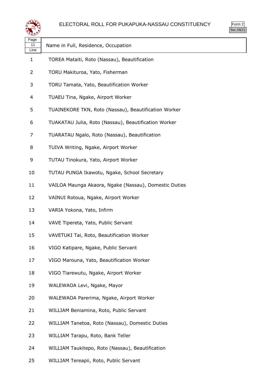

| ترويع              |                                                       |  |
|--------------------|-------------------------------------------------------|--|
| Page<br>11<br>Line | Name in Full, Residence, Occupation                   |  |
| 1                  | TOREA Mataiti, Roto (Nassau), Beautification          |  |
| 2                  | TORU Makituroa, Yato, Fisherman                       |  |
| 3                  | TORU Tamata, Yato, Beautification Worker              |  |
| 4                  | TUAEU Tina, Ngake, Airport Worker                     |  |
| 5                  | TUAINEKORE TKN, Roto (Nassau), Beautification Worker  |  |
| 6                  | TUAKATAU Julia, Roto (Nassau), Beautification Worker  |  |
| 7                  | TUARATAU Ngalo, Roto (Nassau), Beautification         |  |
| 8                  | TUIVA Writing, Ngake, Airport Worker                  |  |
| 9                  | TUTAU Tinokura, Yato, Airport Worker                  |  |
| 10                 | TUTAU PUNGA Ikawotu, Ngake, School Secretary          |  |
| 11                 | VAILOA Maunga Akaora, Ngake (Nassau), Domestic Duties |  |
| 12                 | VAINUI Rotoua, Ngake, Airport Worker                  |  |
| 13                 | VARIA Yokona, Yato, Infirm                            |  |
| 14                 | VAVE Tipereta, Yato, Public Servant                   |  |
| 15                 | VAVETUKI Tai, Roto, Beautification Worker             |  |
| 16                 | VIGO Katipare, Ngake, Public Servant                  |  |
| 17                 | VIGO Marouna, Yato, Beautification Worker             |  |
| 18                 | VIGO Tiarewutu, Ngake, Airport Worker                 |  |
| 19                 | WALEWAOA Levi, Ngake, Mayor                           |  |
| 20                 | WALEWAOA Parerima, Ngake, Airport Worker              |  |
| 21                 | WILLIAM Beniamina, Roto, Public Servant               |  |
| 22                 | WILLIAM Tanetoa, Roto (Nassau), Domestic Duties       |  |
| 23                 | WILLIAM Tarapu, Roto, Bank Teller                     |  |
| 24                 | WILLIAM Taukitepo, Roto (Nassau), Beautification      |  |

WILLIAM Tereapii, Roto, Public Servant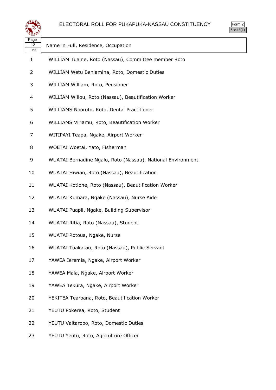

Form 2 Sec.16(1)

| - J -<br>12<br>Line | Name in Full, Residence, Occupation                         |
|---------------------|-------------------------------------------------------------|
| 1                   | WILLIAM Tuaine, Roto (Nassau), Committee member Roto        |
| 2                   | WILLIAM Wetu Beniamina, Roto, Domestic Duties               |
| 3                   | WILLIAM William, Roto, Pensioner                            |
| 4                   | WILLIAM Willou, Roto (Nassau), Beautification Worker        |
| 5                   | WILLIAMS Nooroto, Roto, Dental Practitioner                 |
| 6                   | WILLIAMS Viriamu, Roto, Beautification Worker               |
| 7                   | WITIPAYI Teapa, Ngake, Airport Worker                       |
| 8                   | WOETAI Woetai, Yato, Fisherman                              |
| 9                   | WUATAI Bernadine Ngalo, Roto (Nassau), National Environment |
| 10                  | WUATAI Hiwian, Roto (Nassau), Beautification                |
| 11                  | WUATAI Kotione, Roto (Nassau), Beautification Worker        |
| 12                  | WUATAI Kumara, Ngake (Nassau), Nurse Aide                   |
| 13                  | WUATAI Puapii, Ngake, Building Supervisor                   |
| 14                  | WUATAI Ritia, Roto (Nassau), Student                        |
| 15                  | WUATAI Rotoua, Ngake, Nurse                                 |
| 16                  | WUATAI Tuakatau, Roto (Nassau), Public Servant              |
| 17                  | YAWEA Ieremia, Ngake, Airport Worker                        |
| 18                  | YAWEA Maia, Ngake, Airport Worker                           |
| 19                  | YAWEA Tekura, Ngake, Airport Worker                         |
| 20                  | YEKITEA Tearoana, Roto, Beautification Worker               |
| 21                  | YEUTU Pokerea, Roto, Student                                |
| 22                  | YEUTU Vaitaropo, Roto, Domestic Duties                      |
| 23                  | YEUTU Yeutu, Roto, Agriculture Officer                      |